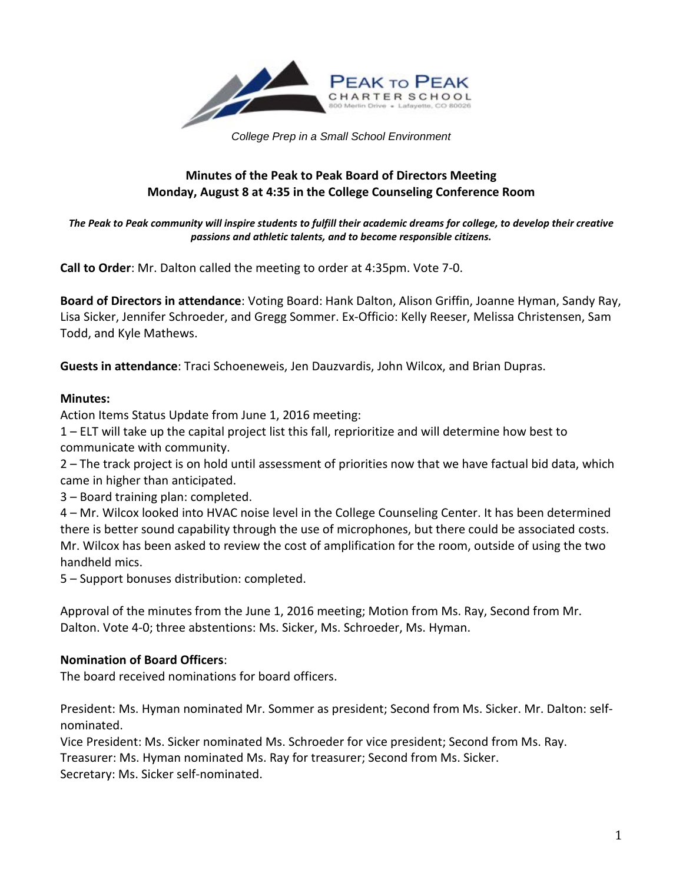

*College Prep in a Small School Environment*

# **Minutes of the Peak to Peak Board of Directors Meeting Monday, August 8 at 4:35 in the College Counseling Conference Room**

*The Peak to Peak community will inspire students to fulfill their academic dreams for college, to develop their creative passions and athletic talents, and to become responsible citizens.*

**Call to Order**: Mr. Dalton called the meeting to order at 4:35pm. Vote 7-0.

**Board of Directors in attendance**: Voting Board: Hank Dalton, Alison Griffin, Joanne Hyman, Sandy Ray, Lisa Sicker, Jennifer Schroeder, and Gregg Sommer. Ex-Officio: Kelly Reeser, Melissa Christensen, Sam Todd, and Kyle Mathews.

**Guests in attendance**: Traci Schoeneweis, Jen Dauzvardis, John Wilcox, and Brian Dupras.

#### **Minutes:**

Action Items Status Update from June 1, 2016 meeting:

1 – ELT will take up the capital project list this fall, reprioritize and will determine how best to communicate with community.

2 – The track project is on hold until assessment of priorities now that we have factual bid data, which came in higher than anticipated.

3 – Board training plan: completed.

4 – Mr. Wilcox looked into HVAC noise level in the College Counseling Center. It has been determined there is better sound capability through the use of microphones, but there could be associated costs. Mr. Wilcox has been asked to review the cost of amplification for the room, outside of using the two handheld mics.

5 – Support bonuses distribution: completed.

Approval of the minutes from the June 1, 2016 meeting; Motion from Ms. Ray, Second from Mr. Dalton. Vote 4-0; three abstentions: Ms. Sicker, Ms. Schroeder, Ms. Hyman.

#### **Nomination of Board Officers**:

The board received nominations for board officers.

President: Ms. Hyman nominated Mr. Sommer as president; Second from Ms. Sicker. Mr. Dalton: selfnominated.

Vice President: Ms. Sicker nominated Ms. Schroeder for vice president; Second from Ms. Ray.

Treasurer: Ms. Hyman nominated Ms. Ray for treasurer; Second from Ms. Sicker.

Secretary: Ms. Sicker self-nominated.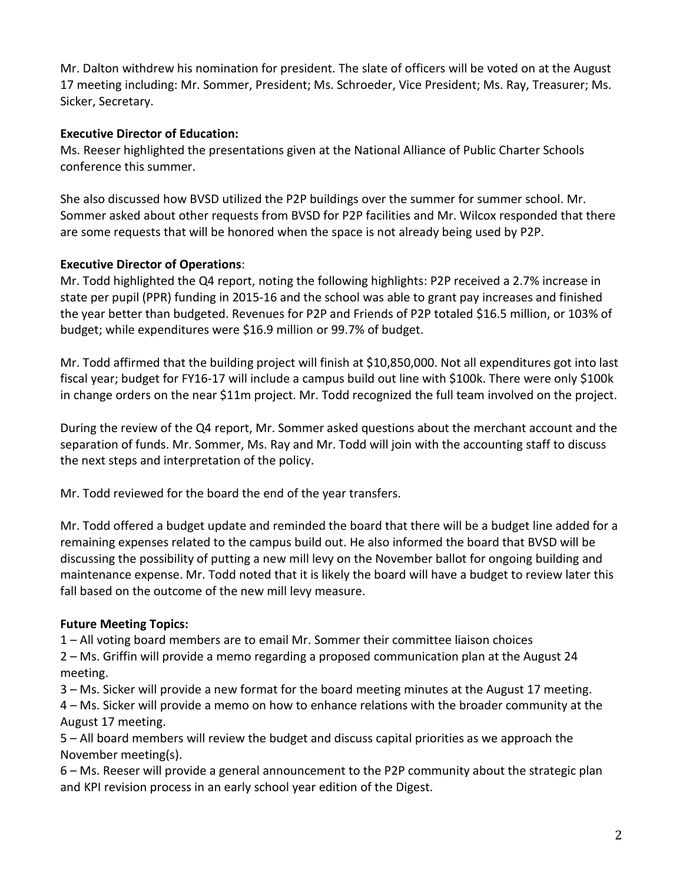Mr. Dalton withdrew his nomination for president. The slate of officers will be voted on at the August 17 meeting including: Mr. Sommer, President; Ms. Schroeder, Vice President; Ms. Ray, Treasurer; Ms. Sicker, Secretary.

## **Executive Director of Education:**

Ms. Reeser highlighted the presentations given at the National Alliance of Public Charter Schools conference this summer.

She also discussed how BVSD utilized the P2P buildings over the summer for summer school. Mr. Sommer asked about other requests from BVSD for P2P facilities and Mr. Wilcox responded that there are some requests that will be honored when the space is not already being used by P2P.

#### **Executive Director of Operations**:

Mr. Todd highlighted the Q4 report, noting the following highlights: P2P received a 2.7% increase in state per pupil (PPR) funding in 2015-16 and the school was able to grant pay increases and finished the year better than budgeted. Revenues for P2P and Friends of P2P totaled \$16.5 million, or 103% of budget; while expenditures were \$16.9 million or 99.7% of budget.

Mr. Todd affirmed that the building project will finish at \$10,850,000. Not all expenditures got into last fiscal year; budget for FY16-17 will include a campus build out line with \$100k. There were only \$100k in change orders on the near \$11m project. Mr. Todd recognized the full team involved on the project.

During the review of the Q4 report, Mr. Sommer asked questions about the merchant account and the separation of funds. Mr. Sommer, Ms. Ray and Mr. Todd will join with the accounting staff to discuss the next steps and interpretation of the policy.

Mr. Todd reviewed for the board the end of the year transfers.

Mr. Todd offered a budget update and reminded the board that there will be a budget line added for a remaining expenses related to the campus build out. He also informed the board that BVSD will be discussing the possibility of putting a new mill levy on the November ballot for ongoing building and maintenance expense. Mr. Todd noted that it is likely the board will have a budget to review later this fall based on the outcome of the new mill levy measure.

## **Future Meeting Topics:**

1 – All voting board members are to email Mr. Sommer their committee liaison choices 2 – Ms. Griffin will provide a memo regarding a proposed communication plan at the August 24

meeting.

3 – Ms. Sicker will provide a new format for the board meeting minutes at the August 17 meeting.

4 – Ms. Sicker will provide a memo on how to enhance relations with the broader community at the August 17 meeting.

5 – All board members will review the budget and discuss capital priorities as we approach the November meeting(s).

6 – Ms. Reeser will provide a general announcement to the P2P community about the strategic plan and KPI revision process in an early school year edition of the Digest.